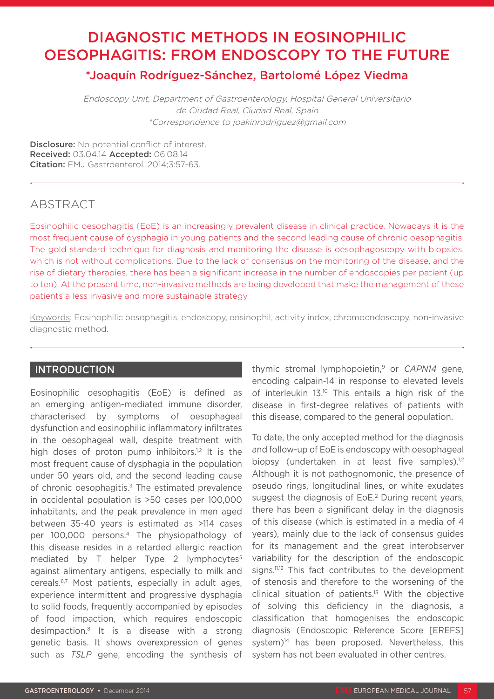# DIAGNOSTIC METHODS IN EOSINOPHILIC OESOPHAGITIS: FROM ENDOSCOPY TO THE FUTURE

## \*Joaquín Rodríguez-Sánchez, Bartolomé López Viedma

Endoscopy Unit, Department of Gastroenterology, Hospital General Universitario de Ciudad Real, Ciudad Real, Spain \*Correspondence to joakinrodriguez@gmail.com

Disclosure: No potential conflict of interest. Received: 03.04.14 Accepted: 06.08.14 Citation: EMJ Gastroenterol. 2014;3:57-63.

## ABSTRACT

Eosinophilic oesophagitis (EoE) is an increasingly prevalent disease in clinical practice. Nowadays it is the most frequent cause of dysphagia in young patients and the second leading cause of chronic oesophagitis. The gold standard technique for diagnosis and monitoring the disease is oesophagoscopy with biopsies, which is not without complications. Due to the lack of consensus on the monitoring of the disease, and the rise of dietary therapies, there has been a significant increase in the number of endoscopies per patient (up to ten). At the present time, non-invasive methods are being developed that make the management of these patients a less invasive and more sustainable strategy.

Keywords: Eosinophilic oesophagitis, endoscopy, eosinophil, activity index, chromoendoscopy, non-invasive diagnostic method.

## **INTRODUCTION**

Eosinophilic oesophagitis (EoE) is defined as an emerging antigen-mediated immune disorder, characterised by symptoms of oesophageal dysfunction and eosinophilic inflammatory infiltrates in the oesophageal wall, despite treatment with high doses of proton pump inhibitors.<sup>1,2</sup> It is the most frequent cause of dysphagia in the population under 50 years old, and the second leading cause of chronic oesophagitis.3 The estimated prevalence in occidental population is >50 cases per 100,000 inhabitants, and the peak prevalence in men aged between 35-40 years is estimated as >114 cases per 100,000 persons.4 The physiopathology of this disease resides in a retarded allergic reaction mediated by T helper Type 2 lymphocytes<sup>5</sup> against alimentary antigens, especially to milk and cereals.6,7 Most patients, especially in adult ages, experience intermittent and progressive dysphagia to solid foods, frequently accompanied by episodes of food impaction, which requires endoscopic desimpaction.8 It is a disease with a strong genetic basis. It shows overexpression of genes such as *TSLP* gene, encoding the synthesis of thymic stromal lymphopoietin,9 or *CAPN14* gene, encoding calpain-14 in response to elevated levels of interleukin 13.10 This entails a high risk of the disease in first-degree relatives of patients with this disease, compared to the general population.

To date, the only accepted method for the diagnosis and follow-up of EoE is endoscopy with oesophageal biopsy (undertaken in at least five samples).<sup>1,2</sup> Although it is not pathognomonic, the presence of pseudo rings, longitudinal lines, or white exudates suggest the diagnosis of EoE.<sup>2</sup> During recent years, there has been a significant delay in the diagnosis of this disease (which is estimated in a media of 4 years), mainly due to the lack of consensus guides for its management and the great interobserver variability for the description of the endoscopic signs.<sup>11,12</sup> This fact contributes to the development of stenosis and therefore to the worsening of the clinical situation of patients.13 With the objective of solving this deficiency in the diagnosis, a classification that homogenises the endoscopic diagnosis (Endoscopic Reference Score [EREFS] system)<sup>14</sup> has been proposed. Nevertheless, this system has not been evaluated in other centres.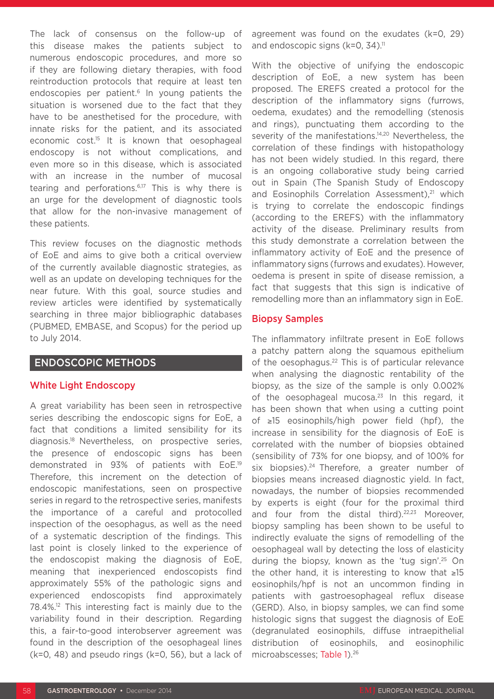The lack of consensus on the follow-up of this disease makes the patients subject to numerous endoscopic procedures, and more so if they are following dietary therapies, with food reintroduction protocols that require at least ten endoscopies per patient.<sup>6</sup> In young patients the situation is worsened due to the fact that they have to be anesthetised for the procedure, with innate risks for the patient, and its associated economic cost.<sup>15</sup> It is known that oesophageal endoscopy is not without complications, and even more so in this disease, which is associated with an increase in the number of mucosal tearing and perforations.6,17 This is why there is an urge for the development of diagnostic tools that allow for the non-invasive management of these patients.

This review focuses on the diagnostic methods of EoE and aims to give both a critical overview of the currently available diagnostic strategies, as well as an update on developing techniques for the near future. With this goal, source studies and review articles were identified by systematically searching in three major bibliographic databases (PUBMED, EMBASE, and Scopus) for the period up to July 2014.

### ENDOSCOPIC METHODS

#### White Light Endoscopy

A great variability has been seen in retrospective series describing the endoscopic signs for EoE, a fact that conditions a limited sensibility for its diagnosis.18 Nevertheless, on prospective series, the presence of endoscopic signs has been demonstrated in 93% of patients with EoE.19 Therefore, this increment on the detection of endoscopic manifestations, seen on prospective series in regard to the retrospective series, manifests the importance of a careful and protocolled inspection of the oesophagus, as well as the need of a systematic description of the findings. This last point is closely linked to the experience of the endoscopist making the diagnosis of EoE, meaning that inexperienced endoscopists find approximately 55% of the pathologic signs and experienced endoscopists find approximately 78.4%.12 This interesting fact is mainly due to the variability found in their description. Regarding this, a fair-to-good interobserver agreement was found in the description of the oesophageal lines (k=0, 48) and pseudo rings (k=0, 56), but a lack of

agreement was found on the exudates (k=0, 29) and endoscopic signs  $(k=0, 34)$ .<sup>11</sup>

With the objective of unifying the endoscopic description of EoE, a new system has been proposed. The EREFS created a protocol for the description of the inflammatory signs (furrows, oedema, exudates) and the remodelling (stenosis and rings), punctuating them according to the severity of the manifestations.<sup>14,20</sup> Nevertheless, the correlation of these findings with histopathology has not been widely studied. In this regard, there is an ongoing collaborative study being carried out in Spain (The Spanish Study of Endoscopy and Eosinophils Correlation Assessment), $21$  which is trying to correlate the endoscopic findings (according to the EREFS) with the inflammatory activity of the disease. Preliminary results from this study demonstrate a correlation between the inflammatory activity of EoE and the presence of inflammatory signs (furrows and exudates). However, oedema is present in spite of disease remission, a fact that suggests that this sign is indicative of remodelling more than an inflammatory sign in EoE.

#### Biopsy Samples

The inflammatory infiltrate present in EoE follows a patchy pattern along the squamous epithelium of the oesophagus.<sup>22</sup> This is of particular relevance when analysing the diagnostic rentability of the biopsy, as the size of the sample is only 0.002% of the oesophageal mucosa. $23$  In this regard, it has been shown that when using a cutting point of ≥15 eosinophils/high power field (hpf), the increase in sensibility for the diagnosis of EoE is correlated with the number of biopsies obtained (sensibility of 73% for one biopsy, and of 100% for six biopsies). $24$  Therefore, a greater number of biopsies means increased diagnostic yield. In fact, nowadays, the number of biopsies recommended by experts is eight (four for the proximal third and four from the distal third).<sup>22,23</sup> Moreover. biopsy sampling has been shown to be useful to indirectly evaluate the signs of remodelling of the oesophageal wall by detecting the loss of elasticity during the biopsy, known as the 'tug sign'.25 On the other hand, it is interesting to know that ≥15 eosinophils/hpf is not an uncommon finding in patients with gastroesophageal reflux disease (GERD). Also, in biopsy samples, we can find some histologic signs that suggest the diagnosis of EoE (degranulated eosinophils, diffuse intraepithelial distribution of eosinophils, and eosinophilic microabscesses; Table 1).26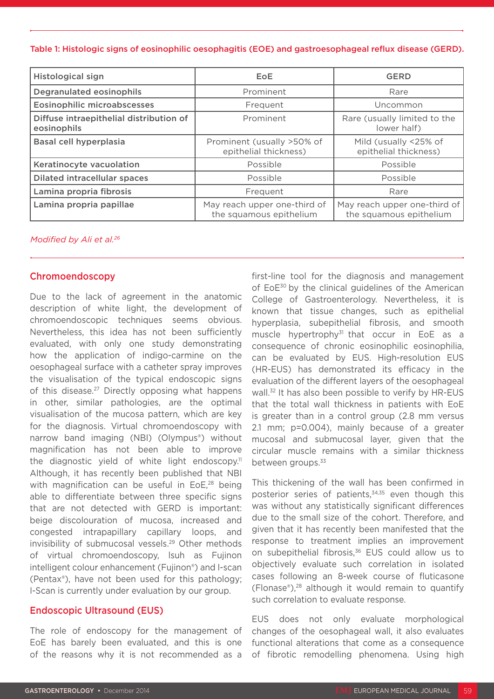#### Table 1: Histologic signs of eosinophilic oesophagitis (EOE) and gastroesophageal reflux disease (GERD).

| <b>Histological sign</b>                               | EoE                                                     | <b>GERD</b>                                             |
|--------------------------------------------------------|---------------------------------------------------------|---------------------------------------------------------|
| Degranulated eosinophils                               | Prominent                                               | Rare                                                    |
| <b>Eosinophilic microabscesses</b>                     | Frequent                                                | Uncommon                                                |
| Diffuse intraepithelial distribution of<br>eosinophils | Prominent                                               | Rare (usually limited to the<br>lower half)             |
| Basal cell hyperplasia                                 | Prominent (usually >50% of<br>epithelial thickness)     | Mild (usually <25% of<br>epithelial thickness)          |
| Keratinocyte vacuolation                               | Possible                                                | Possible                                                |
| <b>Dilated intracellular spaces</b>                    | Possible                                                | Possible                                                |
| Lamina propria fibrosis                                | Frequent                                                | Rare                                                    |
| Lamina propria papillae                                | May reach upper one-third of<br>the squamous epithelium | May reach upper one-third of<br>the squamous epithelium |

#### *Modified by Ali et al.26*

#### Chromoendoscopy

Due to the lack of agreement in the anatomic description of white light, the development of chromoendoscopic techniques seems obvious. Nevertheless, this idea has not been sufficiently evaluated, with only one study demonstrating how the application of indigo-carmine on the oesophageal surface with a catheter spray improves the visualisation of the typical endoscopic signs of this disease.<sup>27</sup> Directly opposing what happens in other, similar pathologies, are the optimal visualisation of the mucosa pattern, which are key for the diagnosis. Virtual chromoendoscopy with narrow band imaging (NBI) (Olympus®) without magnification has not been able to improve the diagnostic yield of white light endoscopy.<sup>11</sup> Although, it has recently been published that NBI with magnification can be useful in EoE,<sup>28</sup> being able to differentiate between three specific signs that are not detected with GERD is important: beige discolouration of mucosa, increased and congested intrapapillary capillary loops, and invisibility of submucosal vessels.<sup>29</sup> Other methods of virtual chromoendoscopy, lsuh as Fujinon intelligent colour enhancement (Fujinon®) and I-scan (Pentax®), have not been used for this pathology; I-Scan is currently under evaluation by our group.

#### Endoscopic Ultrasound (EUS)

The role of endoscopy for the management of EoE has barely been evaluated, and this is one of the reasons why it is not recommended as a

first-line tool for the diagnosis and management of EoE<sup>30</sup> by the clinical guidelines of the American College of Gastroenterology. Nevertheless, it is known that tissue changes, such as epithelial hyperplasia, subepithelial fibrosis, and smooth muscle hypertrophy<sup>31</sup> that occur in EoE as a consequence of chronic eosinophilic eosinophilia, can be evaluated by EUS. High-resolution EUS (HR-EUS) has demonstrated its efficacy in the evaluation of the different layers of the oesophageal wall.<sup>32</sup> It has also been possible to verify by HR-EUS that the total wall thickness in patients with EoE is greater than in a control group (2.8 mm versus 2.1 mm; p=0.004), mainly because of a greater mucosal and submucosal layer, given that the circular muscle remains with a similar thickness between groups.<sup>33</sup>

This thickening of the wall has been confirmed in posterior series of patients,<sup>34,35</sup> even though this was without any statistically significant differences due to the small size of the cohort. Therefore, and given that it has recently been manifested that the response to treatment implies an improvement on subepithelial fibrosis,<sup>36</sup> EUS could allow us to objectively evaluate such correlation in isolated cases following an 8-week course of fluticasone (Flonase®),28 although it would remain to quantify such correlation to evaluate response.

EUS does not only evaluate morphological changes of the oesophageal wall, it also evaluates functional alterations that come as a consequence of fibrotic remodelling phenomena. Using high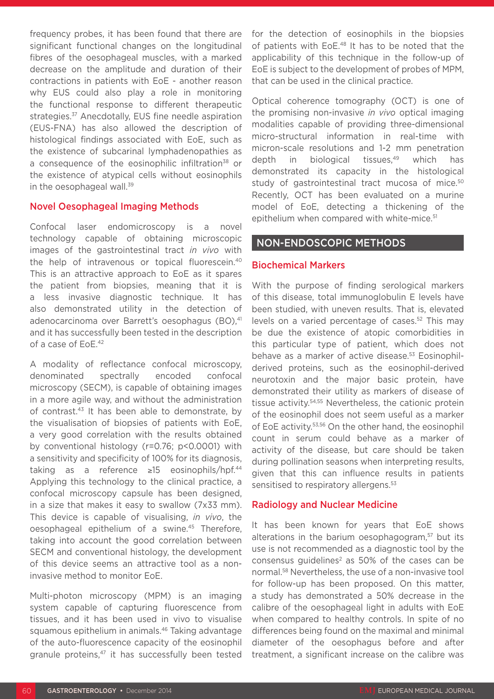frequency probes, it has been found that there are significant functional changes on the longitudinal fibres of the oesophageal muscles, with a marked decrease on the amplitude and duration of their contractions in patients with EoE - another reason why EUS could also play a role in monitoring the functional response to different therapeutic strategies.<sup>37</sup> Anecdotally, EUS fine needle aspiration (EUS-FNA) has also allowed the description of histological findings associated with EoE, such as the existence of subcarinal lymphadenopathies as a consequence of the eosinophilic infiltration<sup>38</sup> or the existence of atypical cells without eosinophils in the oesophageal wall.<sup>39</sup>

#### Novel Oesophageal Imaging Methods

Confocal laser endomicroscopy is a novel technology capable of obtaining microscopic images of the gastrointestinal tract *in vivo* with the help of intravenous or topical fluorescein.40 This is an attractive approach to EoE as it spares the patient from biopsies, meaning that it is a less invasive diagnostic technique. It has also demonstrated utility in the detection of adenocarcinoma over Barrett's oesophagus (BO),<sup>41</sup> and it has successfully been tested in the description of a case of EoE.42

A modality of reflectance confocal microscopy, denominated spectrally encoded confocal microscopy (SECM), is capable of obtaining images in a more agile way, and without the administration of contrast.<sup>43</sup> It has been able to demonstrate, by the visualisation of biopsies of patients with EoE, a very good correlation with the results obtained by conventional histology (r=0.76; p<0.0001) with a sensitivity and specificity of 100% for its diagnosis, taking as a reference ≥15 eosinophils/hpf.44 Applying this technology to the clinical practice, a confocal microscopy capsule has been designed, in a size that makes it easy to swallow (7x33 mm). This device is capable of visualising, *in vivo*, the oesophageal epithelium of a swine.45 Therefore, taking into account the good correlation between SECM and conventional histology, the development of this device seems an attractive tool as a noninvasive method to monitor EoE.

Multi-photon microscopy (MPM) is an imaging system capable of capturing fluorescence from tissues, and it has been used in vivo to visualise squamous epithelium in animals.<sup>46</sup> Taking advantage of the auto-fluorescence capacity of the eosinophil granule proteins,<sup>47</sup> it has successfully been tested for the detection of eosinophils in the biopsies of patients with EoE.<sup>48</sup> It has to be noted that the applicability of this technique in the follow-up of EoE is subject to the development of probes of MPM, that can be used in the clinical practice.

Optical coherence tomography (OCT) is one of the promising non-invasive *in vivo* optical imaging modalities capable of providing three-dimensional micro-structural information in real-time with micron-scale resolutions and 1-2 mm penetration depth in biological tissues,<sup>49</sup> which has demonstrated its capacity in the histological study of gastrointestinal tract mucosa of mice.<sup>50</sup> Recently, OCT has been evaluated on a murine model of EoE, detecting a thickening of the epithelium when compared with white-mice.<sup>51</sup>

#### NON-ENDOSCOPIC METHODS

#### Biochemical Markers

With the purpose of finding serological markers of this disease, total immunoglobulin E levels have been studied, with uneven results. That is, elevated levels on a varied percentage of cases.<sup>52</sup> This may be due the existence of atopic comorbidities in this particular type of patient, which does not behave as a marker of active disease.<sup>53</sup> Eosinophilderived proteins, such as the eosinophil-derived neurotoxin and the major basic protein, have demonstrated their utility as markers of disease of tissue activity.54,55 Nevertheless, the cationic protein of the eosinophil does not seem useful as a marker of EoE activity.53,56 On the other hand, the eosinophil count in serum could behave as a marker of activity of the disease, but care should be taken during pollination seasons when interpreting results, given that this can influence results in patients sensitised to respiratory allergens.<sup>53</sup>

#### Radiology and Nuclear Medicine

It has been known for years that EoE shows alterations in the barium oesophagogram,<sup>57</sup> but its use is not recommended as a diagnostic tool by the consensus guidelines<sup>2</sup> as  $50\%$  of the cases can be normal.58 Nevertheless, the use of a non-invasive tool for follow-up has been proposed. On this matter, a study has demonstrated a 50% decrease in the calibre of the oesophageal light in adults with EoE when compared to healthy controls. In spite of no differences being found on the maximal and minimal diameter of the oesophagus before and after treatment, a significant increase on the calibre was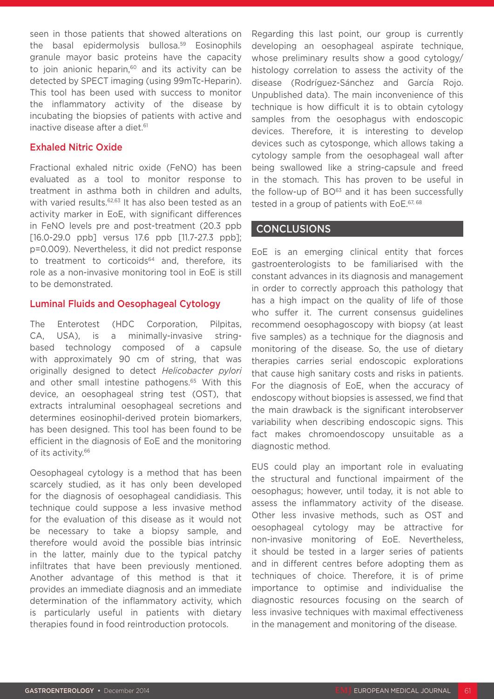seen in those patients that showed alterations on the basal epidermolysis bullosa.<sup>59</sup> Eosinophils granule mayor basic proteins have the capacity to join anionic heparin, $60$  and its activity can be detected by SPECT imaging (using 99mTc-Heparin). This tool has been used with success to monitor the inflammatory activity of the disease by incubating the biopsies of patients with active and inactive disease after a diet.<sup>61</sup>

#### Exhaled Nitric Oxide

Fractional exhaled nitric oxide (FeNO) has been evaluated as a tool to monitor response to treatment in asthma both in children and adults, with varied results.<sup>62,63</sup> It has also been tested as an activity marker in EoE, with significant differences in FeNO levels pre and post-treatment (20.3 ppb [16.0-29.0 ppb] versus 17.6 ppb [11.7-27.3 ppb]; p=0.009). Nevertheless, it did not predict response to treatment to corticoids<sup>64</sup> and, therefore, its role as a non-invasive monitoring tool in EoE is still to be demonstrated.

#### Luminal Fluids and Oesophageal Cytology

The Enterotest (HDC Corporation, Pilpitas, CA, USA), is a minimally-invasive stringbased technology composed of a capsule with approximately 90 cm of string, that was originally designed to detect *Helicobacter pylori*  and other small intestine pathogens.<sup>65</sup> With this device, an oesophageal string test (OST), that extracts intraluminal oesophageal secretions and determines eosinophil-derived protein biomarkers, has been designed. This tool has been found to be efficient in the diagnosis of EoE and the monitoring of its activity.<sup>66</sup>

Oesophageal cytology is a method that has been scarcely studied, as it has only been developed for the diagnosis of oesophageal candidiasis. This technique could suppose a less invasive method for the evaluation of this disease as it would not be necessary to take a biopsy sample, and therefore would avoid the possible bias intrinsic in the latter, mainly due to the typical patchy infiltrates that have been previously mentioned. Another advantage of this method is that it provides an immediate diagnosis and an immediate determination of the inflammatory activity, which is particularly useful in patients with dietary therapies found in food reintroduction protocols.

Regarding this last point, our group is currently developing an oesophageal aspirate technique, whose preliminary results show a good cytology/ histology correlation to assess the activity of the disease (Rodríguez-Sánchez and García Rojo. Unpublished data). The main inconvenience of this technique is how difficult it is to obtain cytology samples from the oesophagus with endoscopic devices. Therefore, it is interesting to develop devices such as cytosponge, which allows taking a cytology sample from the oesophageal wall after being swallowed like a string-capsule and freed in the stomach. This has proven to be useful in the follow-up of  $BO^{63}$  and it has been successfully tested in a group of patients with EoE.<sup>67, 68</sup>

#### CONCLUSIONS

EoE is an emerging clinical entity that forces gastroenterologists to be familiarised with the constant advances in its diagnosis and management in order to correctly approach this pathology that has a high impact on the quality of life of those who suffer it. The current consensus guidelines recommend oesophagoscopy with biopsy (at least five samples) as a technique for the diagnosis and monitoring of the disease. So, the use of dietary therapies carries serial endoscopic explorations that cause high sanitary costs and risks in patients. For the diagnosis of EoE, when the accuracy of endoscopy without biopsies is assessed, we find that the main drawback is the significant interobserver variability when describing endoscopic signs. This fact makes chromoendoscopy unsuitable as a diagnostic method.

EUS could play an important role in evaluating the structural and functional impairment of the oesophagus; however, until today, it is not able to assess the inflammatory activity of the disease. Other less invasive methods, such as OST and oesophageal cytology may be attractive for non-invasive monitoring of EoE. Nevertheless, it should be tested in a larger series of patients and in different centres before adopting them as techniques of choice. Therefore, it is of prime importance to optimise and individualise the diagnostic resources focusing on the search of less invasive techniques with maximal effectiveness in the management and monitoring of the disease.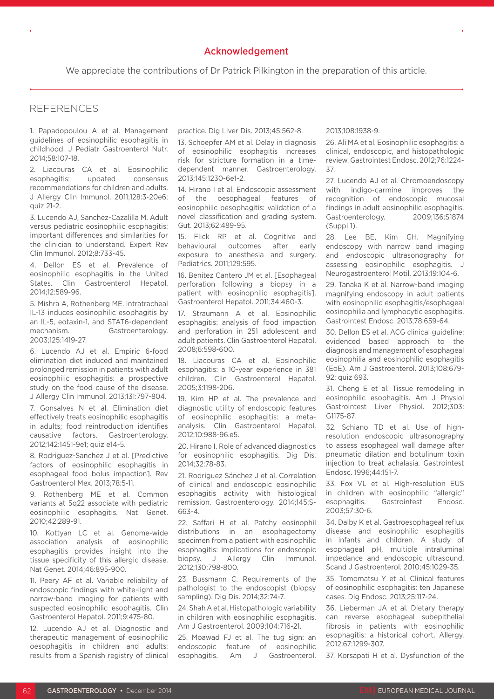#### Acknowledgement

We appreciate the contributions of Dr Patrick Pilkington in the preparation of this article.

## REFERENCES

1. Papadopoulou A et al. Management guidelines of eosinophilic esophagitis in childhood. J Pediatr Gastroenterol Nutr. 2014;58:107-18.

2. Liacouras CA et al. Eosinophilic esophagitis: updated consensus recommendations for children and adults. J Allergy Clin Immunol. 2011;128:3-20e6; quiz 21-2.

3. Lucendo AJ, Sanchez-Cazalilla M. Adult versus pediatric eosinophilic esophagitis: important differences and similarities for the clinician to understand. Expert Rev Clin Immunol. 2012;8:733-45.

4. Dellon ES et al. Prevalence of eosinophilic esophagitis in the United States. Clin Gastroenterol Hepatol. 2014;12:589-96.

5. Mishra A, Rothenberg ME. Intratracheal IL-13 induces eosinophilic esophagitis by an IL-5, eotaxin-1, and STAT6-dependent mechanism. Gastroenterology. 2003;125:1419-27.

6. Lucendo AJ et al. Empiric 6-food elimination diet induced and maintained prolonged remission in patients with adult eosinophilic esophagitis: a prospective study on the food cause of the disease. J Allergy Clin Immunol. 2013;131:797-804.

7. Gonsalves N et al. Elimination diet effectively treats eosinophilic esophagitis in adults; food reintroduction identifies causative factors. Gastroenterology. 2012;142:1451-9e1; quiz e14-5.

8. Rodriguez-Sanchez J et al. [Predictive factors of eosinophilic esophagitis in esophageal food bolus impaction]. Rev Gastroenterol Mex. 2013;78:5-11.

9. Rothenberg ME et al. Common variants at 5q22 associate with pediatric eosinophilic esophagitis. Nat Genet. 2010;42:289-91.

10. Kottyan LC et al. Genome-wide association analysis of eosinophilic esophagitis provides insight into the tissue specificity of this allergic disease. Nat Genet. 2014;46:895-900.

11. Peery AF et al. Variable reliability of endoscopic findings with white-light and narrow-band imaging for patients with suspected eosinophilic esophagitis. Clin Gastroenterol Hepatol. 2011;9:475-80.

12. Lucendo AJ et al. Diagnostic and therapeutic management of eosinophilic oesophagitis in children and adults: results from a Spanish registry of clinical practice. Dig Liver Dis. 2013;45:562-8.

13. Schoepfer AM et al. Delay in diagnosis of eosinophilic esophagitis increases risk for stricture formation in a timedependent manner. Gastroenterology. 2013;145:1230-6e1-2.

14. Hirano I et al. Endoscopic assessment of the oesophageal features of eosinophilic oesophagitis: validation of a novel classification and grading system. Gut. 2013;62:489-95.

15. Flick RP et al. Cognitive and behavioural outcomes after early exposure to anesthesia and surgery. Pediatrics. 2011;129:595.

16. Benitez Cantero JM et al. [Esophageal perforation following a biopsy in a patient with eosinophilic esophagitis]. Gastroenterol Hepatol. 2011;34:460-3.

17. Straumann A et al. Eosinophilic esophagitis: analysis of food impaction and perforation in 251 adolescent and adult patients. Clin Gastroenterol Hepatol. 2008;6:598-600.

18. Liacouras CA et al. Eosinophilic esophagitis: a 10-year experience in 381 children. Clin Gastroenterol Hepatol. 2005;3:1198-206.

19. Kim HP et al. The prevalence and diagnostic utility of endoscopic features of eosinophilic esophagitis: a metaanalysis. Clin Gastroenterol Hepatol. 2012;10:988-96.e5.

20. Hirano I. Role of advanced diagnostics for eosinophilic esophagitis. Dig Dis. 2014;32:78-83.

21. Rodriguez Sánchez J et al. Correlation of clinical and endoscopic eosinophilic esophagitis activity with histological remission. Gastroenterology. 2014;145:S-663-4.

22. Saffari H et al. Patchy eosinophil distributions in an esophagectomy specimen from a patient with eosinophilic esophagitis: implications for endoscopic biopsy. J Allergy Clin Immunol. 2012;130:798-800.

23. Bussmann C. Requirements of the pathologist to the endoscopist (biopsy sampling). Dig Dis. 2014;32:74-7.

24. Shah A et al. Histopathologic variability in children with eosinophilic esophagitis. Am J Gastroenterol. 2009;104:716-21.

25. Moawad FJ et al. The tug sign: an endoscopic feature of eosinophilic esophagitis. Am J Gastroenterol.

#### 2013;108:1938-9.

26. Ali MA et al. Eosinophilic esophagitis: a clinical, endoscopic, and histopathologic review. Gastrointest Endosc. 2012;76:1224- 37.

27. Lucendo AJ et al. Chromoendoscopy with indigo-carmine improves the recognition of endoscopic mucosal findings in adult eosinophilic esophagitis. Gastroenterology. 2009;136:S1874 (Suppl 1).

28. Lee BE, Kim GH. Magnifying endoscopy with narrow band imaging and endoscopic ultrasonography for assessing eosinophilic esophagitis. J Neurogastroenterol Motil. 2013;19:104-6.

29. Tanaka K et al. Narrow-band imaging magnifying endoscopy in adult patients with eosinophilic esophagitis/esophageal eosinophilia and lymphocytic esophagitis. Gastrointest Endosc. 2013;78:659-64.

30. Dellon ES et al. ACG clinical guideline: evidenced based approach to the diagnosis and management of esophageal eosinophilia and eosinophilic esophagitis (EoE). Am J Gastroenterol. 2013;108:679- 92; quiz 693.

31. Cheng E et al. Tissue remodeling in eosinophilic esophagitis. Am J Physiol Gastrointest Liver Physiol. 2012;303: G1175-87.

32. Schiano TD et al. Use of highresolution endoscopic ultrasonography to assess esophageal wall damage after pneumatic dilation and botulinum toxin injection to treat achalasia. Gastrointest Endosc. 1996;44:151-7.

33. Fox VL et al. High-resolution EUS in children with eosinophilic "allergic" esophagitis. Gastrointest Endosc. 2003;57:30-6.

34. Dalby K et al. Gastroesophageal reflux disease and eosinophilic esophagitis in infants and children. A study of esophageal pH, multiple intraluminal impedance and endoscopic ultrasound. Scand J Gastroenterol. 2010;45:1029-35.

35. Tomomatsu Y et al. Clinical features of eosinophilic esophagitis: ten Japanese cases. Dig Endosc. 2013;25:117-24.

36. Lieberman JA et al. Dietary therapy can reverse esophageal subepithelial fibrosis in patients with eosinophilic esophagitis: a historical cohort. Allergy. 2012;67:1299-307.

37. Korsapati H et al. Dysfunction of the